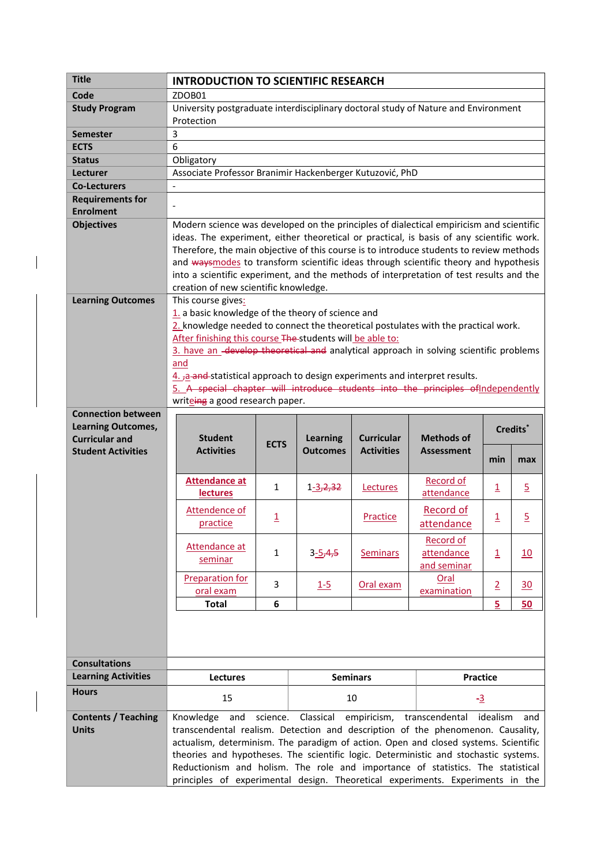| Code<br><b>Study Program</b><br><b>Semester</b><br><b>ECTS</b><br><b>Status</b><br>Lecturer<br><b>Co-Lecturers</b><br><b>Requirements for</b><br><b>Enrolment</b><br><b>Objectives</b> | 3<br>6<br>$\frac{1}{2}$                                                                                              | ZDOB01<br>University postgraduate interdisciplinary doctoral study of Nature and Environment<br>Protection                                                                                                                                                                                                                                                                                                                                                       |                                                                                   |                 |                                                          |                                |                         |                |  |  |  |  |  |  |  |
|----------------------------------------------------------------------------------------------------------------------------------------------------------------------------------------|----------------------------------------------------------------------------------------------------------------------|------------------------------------------------------------------------------------------------------------------------------------------------------------------------------------------------------------------------------------------------------------------------------------------------------------------------------------------------------------------------------------------------------------------------------------------------------------------|-----------------------------------------------------------------------------------|-----------------|----------------------------------------------------------|--------------------------------|-------------------------|----------------|--|--|--|--|--|--|--|
|                                                                                                                                                                                        |                                                                                                                      |                                                                                                                                                                                                                                                                                                                                                                                                                                                                  |                                                                                   |                 |                                                          |                                |                         |                |  |  |  |  |  |  |  |
|                                                                                                                                                                                        |                                                                                                                      |                                                                                                                                                                                                                                                                                                                                                                                                                                                                  |                                                                                   |                 |                                                          |                                |                         |                |  |  |  |  |  |  |  |
|                                                                                                                                                                                        |                                                                                                                      |                                                                                                                                                                                                                                                                                                                                                                                                                                                                  |                                                                                   |                 |                                                          |                                |                         |                |  |  |  |  |  |  |  |
|                                                                                                                                                                                        |                                                                                                                      |                                                                                                                                                                                                                                                                                                                                                                                                                                                                  |                                                                                   |                 |                                                          |                                |                         |                |  |  |  |  |  |  |  |
|                                                                                                                                                                                        |                                                                                                                      |                                                                                                                                                                                                                                                                                                                                                                                                                                                                  |                                                                                   |                 |                                                          |                                |                         |                |  |  |  |  |  |  |  |
|                                                                                                                                                                                        |                                                                                                                      |                                                                                                                                                                                                                                                                                                                                                                                                                                                                  |                                                                                   |                 |                                                          | Obligatory                     |                         |                |  |  |  |  |  |  |  |
|                                                                                                                                                                                        |                                                                                                                      |                                                                                                                                                                                                                                                                                                                                                                                                                                                                  |                                                                                   |                 | Associate Professor Branimir Hackenberger Kutuzović, PhD |                                |                         |                |  |  |  |  |  |  |  |
|                                                                                                                                                                                        |                                                                                                                      |                                                                                                                                                                                                                                                                                                                                                                                                                                                                  |                                                                                   |                 |                                                          |                                |                         |                |  |  |  |  |  |  |  |
|                                                                                                                                                                                        |                                                                                                                      |                                                                                                                                                                                                                                                                                                                                                                                                                                                                  |                                                                                   |                 |                                                          |                                |                         |                |  |  |  |  |  |  |  |
|                                                                                                                                                                                        |                                                                                                                      |                                                                                                                                                                                                                                                                                                                                                                                                                                                                  |                                                                                   |                 |                                                          |                                |                         |                |  |  |  |  |  |  |  |
|                                                                                                                                                                                        |                                                                                                                      | Modern science was developed on the principles of dialectical empiricism and scientific                                                                                                                                                                                                                                                                                                                                                                          |                                                                                   |                 |                                                          |                                |                         |                |  |  |  |  |  |  |  |
|                                                                                                                                                                                        |                                                                                                                      | ideas. The experiment, either theoretical or practical, is basis of any scientific work.                                                                                                                                                                                                                                                                                                                                                                         |                                                                                   |                 |                                                          |                                |                         |                |  |  |  |  |  |  |  |
|                                                                                                                                                                                        | Therefore, the main objective of this course is to introduce students to review methods                              |                                                                                                                                                                                                                                                                                                                                                                                                                                                                  |                                                                                   |                 |                                                          |                                |                         |                |  |  |  |  |  |  |  |
|                                                                                                                                                                                        | and waysmodes to transform scientific ideas through scientific theory and hypothesis                                 |                                                                                                                                                                                                                                                                                                                                                                                                                                                                  |                                                                                   |                 |                                                          |                                |                         |                |  |  |  |  |  |  |  |
|                                                                                                                                                                                        |                                                                                                                      | into a scientific experiment, and the methods of interpretation of test results and the                                                                                                                                                                                                                                                                                                                                                                          |                                                                                   |                 |                                                          |                                |                         |                |  |  |  |  |  |  |  |
|                                                                                                                                                                                        | creation of new scientific knowledge.                                                                                |                                                                                                                                                                                                                                                                                                                                                                                                                                                                  |                                                                                   |                 |                                                          |                                |                         |                |  |  |  |  |  |  |  |
| <b>Learning Outcomes</b>                                                                                                                                                               | This course gives:                                                                                                   |                                                                                                                                                                                                                                                                                                                                                                                                                                                                  |                                                                                   |                 |                                                          |                                |                         |                |  |  |  |  |  |  |  |
|                                                                                                                                                                                        | 1. a basic knowledge of the theory of science and                                                                    |                                                                                                                                                                                                                                                                                                                                                                                                                                                                  |                                                                                   |                 |                                                          |                                |                         |                |  |  |  |  |  |  |  |
|                                                                                                                                                                                        | 2. knowledge needed to connect the theoretical postulates with the practical work.                                   |                                                                                                                                                                                                                                                                                                                                                                                                                                                                  |                                                                                   |                 |                                                          |                                |                         |                |  |  |  |  |  |  |  |
|                                                                                                                                                                                        | After finishing this course The-students will be able to:                                                            |                                                                                                                                                                                                                                                                                                                                                                                                                                                                  |                                                                                   |                 |                                                          |                                |                         |                |  |  |  |  |  |  |  |
|                                                                                                                                                                                        | 3. have an -develop theoretical and analytical approach in solving scientific problems                               |                                                                                                                                                                                                                                                                                                                                                                                                                                                                  |                                                                                   |                 |                                                          |                                |                         |                |  |  |  |  |  |  |  |
|                                                                                                                                                                                        | and                                                                                                                  |                                                                                                                                                                                                                                                                                                                                                                                                                                                                  |                                                                                   |                 |                                                          |                                |                         |                |  |  |  |  |  |  |  |
|                                                                                                                                                                                        | 4. a and statistical approach to design experiments and interpret results.                                           |                                                                                                                                                                                                                                                                                                                                                                                                                                                                  |                                                                                   |                 |                                                          |                                |                         |                |  |  |  |  |  |  |  |
|                                                                                                                                                                                        | 5. A special chapter will introduce students into the principles of Independently<br>writeing a good research paper. |                                                                                                                                                                                                                                                                                                                                                                                                                                                                  |                                                                                   |                 |                                                          |                                |                         |                |  |  |  |  |  |  |  |
| <b>Connection between</b>                                                                                                                                                              |                                                                                                                      |                                                                                                                                                                                                                                                                                                                                                                                                                                                                  |                                                                                   |                 |                                                          |                                |                         |                |  |  |  |  |  |  |  |
| <b>Learning Outcomes,</b>                                                                                                                                                              |                                                                                                                      |                                                                                                                                                                                                                                                                                                                                                                                                                                                                  |                                                                                   |                 |                                                          |                                |                         |                |  |  |  |  |  |  |  |
| <b>Curricular and</b>                                                                                                                                                                  |                                                                                                                      | <b>Student</b>                                                                                                                                                                                                                                                                                                                                                                                                                                                   | Credits <sup>*</sup><br><b>Curricular</b><br><b>Methods of</b><br><b>Learning</b> |                 |                                                          |                                |                         |                |  |  |  |  |  |  |  |
| <b>Student Activities</b>                                                                                                                                                              |                                                                                                                      | <b>Activities</b>                                                                                                                                                                                                                                                                                                                                                                                                                                                | <b>ECTS</b>                                                                       | <b>Outcomes</b> | <b>Activities</b>                                        | <b>Assessment</b>              |                         |                |  |  |  |  |  |  |  |
|                                                                                                                                                                                        |                                                                                                                      |                                                                                                                                                                                                                                                                                                                                                                                                                                                                  |                                                                                   |                 |                                                          |                                | min                     | max            |  |  |  |  |  |  |  |
|                                                                                                                                                                                        |                                                                                                                      |                                                                                                                                                                                                                                                                                                                                                                                                                                                                  |                                                                                   |                 |                                                          |                                |                         |                |  |  |  |  |  |  |  |
|                                                                                                                                                                                        |                                                                                                                      | <b>Attendance at</b><br><b>lectures</b>                                                                                                                                                                                                                                                                                                                                                                                                                          | $\mathbf{1}$                                                                      | $1 - 3, 2, 32$  | Lectures                                                 | <b>Record of</b><br>attendance | $\overline{\mathbf{1}}$ | $\overline{5}$ |  |  |  |  |  |  |  |
|                                                                                                                                                                                        |                                                                                                                      |                                                                                                                                                                                                                                                                                                                                                                                                                                                                  |                                                                                   |                 |                                                          |                                |                         |                |  |  |  |  |  |  |  |
|                                                                                                                                                                                        |                                                                                                                      | Attendence of                                                                                                                                                                                                                                                                                                                                                                                                                                                    | $\overline{\mathbf{1}}$                                                           |                 | Practice                                                 | Record of                      | $\overline{\mathbf{1}}$ | $\overline{5}$ |  |  |  |  |  |  |  |
|                                                                                                                                                                                        |                                                                                                                      | practice                                                                                                                                                                                                                                                                                                                                                                                                                                                         |                                                                                   |                 |                                                          | attendance                     |                         |                |  |  |  |  |  |  |  |
|                                                                                                                                                                                        |                                                                                                                      |                                                                                                                                                                                                                                                                                                                                                                                                                                                                  |                                                                                   |                 |                                                          | <b>Record of</b>               |                         |                |  |  |  |  |  |  |  |
|                                                                                                                                                                                        |                                                                                                                      | Attendance at                                                                                                                                                                                                                                                                                                                                                                                                                                                    | $\mathbf{1}$                                                                      | $3 - 5, 4, 5$   | <b>Seminars</b>                                          | attendance                     | $\overline{\mathbf{1}}$ | 10             |  |  |  |  |  |  |  |
|                                                                                                                                                                                        |                                                                                                                      | seminar                                                                                                                                                                                                                                                                                                                                                                                                                                                          |                                                                                   |                 |                                                          | and seminar                    |                         |                |  |  |  |  |  |  |  |
|                                                                                                                                                                                        |                                                                                                                      | <b>Preparation for</b>                                                                                                                                                                                                                                                                                                                                                                                                                                           | 3                                                                                 | $1 - 5$         | Oral exam                                                | Oral                           | $\overline{2}$          | 30             |  |  |  |  |  |  |  |
|                                                                                                                                                                                        |                                                                                                                      | oral exam                                                                                                                                                                                                                                                                                                                                                                                                                                                        |                                                                                   |                 |                                                          | examination                    |                         |                |  |  |  |  |  |  |  |
|                                                                                                                                                                                        |                                                                                                                      | <b>Total</b>                                                                                                                                                                                                                                                                                                                                                                                                                                                     | 6                                                                                 |                 |                                                          |                                | 5                       | 50             |  |  |  |  |  |  |  |
|                                                                                                                                                                                        |                                                                                                                      |                                                                                                                                                                                                                                                                                                                                                                                                                                                                  |                                                                                   |                 |                                                          |                                |                         |                |  |  |  |  |  |  |  |
|                                                                                                                                                                                        |                                                                                                                      |                                                                                                                                                                                                                                                                                                                                                                                                                                                                  |                                                                                   |                 |                                                          |                                |                         |                |  |  |  |  |  |  |  |
|                                                                                                                                                                                        |                                                                                                                      |                                                                                                                                                                                                                                                                                                                                                                                                                                                                  |                                                                                   |                 |                                                          |                                |                         |                |  |  |  |  |  |  |  |
| <b>Consultations</b>                                                                                                                                                                   |                                                                                                                      |                                                                                                                                                                                                                                                                                                                                                                                                                                                                  |                                                                                   |                 |                                                          |                                |                         |                |  |  |  |  |  |  |  |
| <b>Learning Activities</b>                                                                                                                                                             |                                                                                                                      |                                                                                                                                                                                                                                                                                                                                                                                                                                                                  |                                                                                   |                 |                                                          |                                |                         |                |  |  |  |  |  |  |  |
|                                                                                                                                                                                        | Lectures                                                                                                             |                                                                                                                                                                                                                                                                                                                                                                                                                                                                  |                                                                                   | <b>Seminars</b> |                                                          | <b>Practice</b>                |                         |                |  |  |  |  |  |  |  |
|                                                                                                                                                                                        |                                                                                                                      | 15                                                                                                                                                                                                                                                                                                                                                                                                                                                               |                                                                                   |                 |                                                          |                                |                         |                |  |  |  |  |  |  |  |
|                                                                                                                                                                                        |                                                                                                                      |                                                                                                                                                                                                                                                                                                                                                                                                                                                                  |                                                                                   |                 |                                                          |                                |                         |                |  |  |  |  |  |  |  |
|                                                                                                                                                                                        |                                                                                                                      |                                                                                                                                                                                                                                                                                                                                                                                                                                                                  |                                                                                   |                 |                                                          |                                |                         |                |  |  |  |  |  |  |  |
|                                                                                                                                                                                        |                                                                                                                      |                                                                                                                                                                                                                                                                                                                                                                                                                                                                  |                                                                                   |                 |                                                          |                                |                         |                |  |  |  |  |  |  |  |
|                                                                                                                                                                                        |                                                                                                                      |                                                                                                                                                                                                                                                                                                                                                                                                                                                                  |                                                                                   |                 |                                                          |                                |                         |                |  |  |  |  |  |  |  |
|                                                                                                                                                                                        |                                                                                                                      |                                                                                                                                                                                                                                                                                                                                                                                                                                                                  |                                                                                   |                 |                                                          |                                |                         |                |  |  |  |  |  |  |  |
|                                                                                                                                                                                        |                                                                                                                      | principles of experimental design. Theoretical experiments. Experiments in the                                                                                                                                                                                                                                                                                                                                                                                   |                                                                                   |                 |                                                          |                                |                         |                |  |  |  |  |  |  |  |
| <b>Hours</b><br><b>Contents / Teaching</b><br><b>Units</b>                                                                                                                             |                                                                                                                      | 10<br>$-3$<br>Classical<br>empiricism,<br>transcendental<br>Knowledge<br>and<br>science.<br>idealism<br>and<br>transcendental realism. Detection and description of the phenomenon. Causality,<br>actualism, determinism. The paradigm of action. Open and closed systems. Scientific<br>theories and hypotheses. The scientific logic. Deterministic and stochastic systems.<br>Reductionism and holism. The role and importance of statistics. The statistical |                                                                                   |                 |                                                          |                                |                         |                |  |  |  |  |  |  |  |

 $\overline{\phantom{a}}$ 

 $\begin{array}{c} \hline \end{array}$